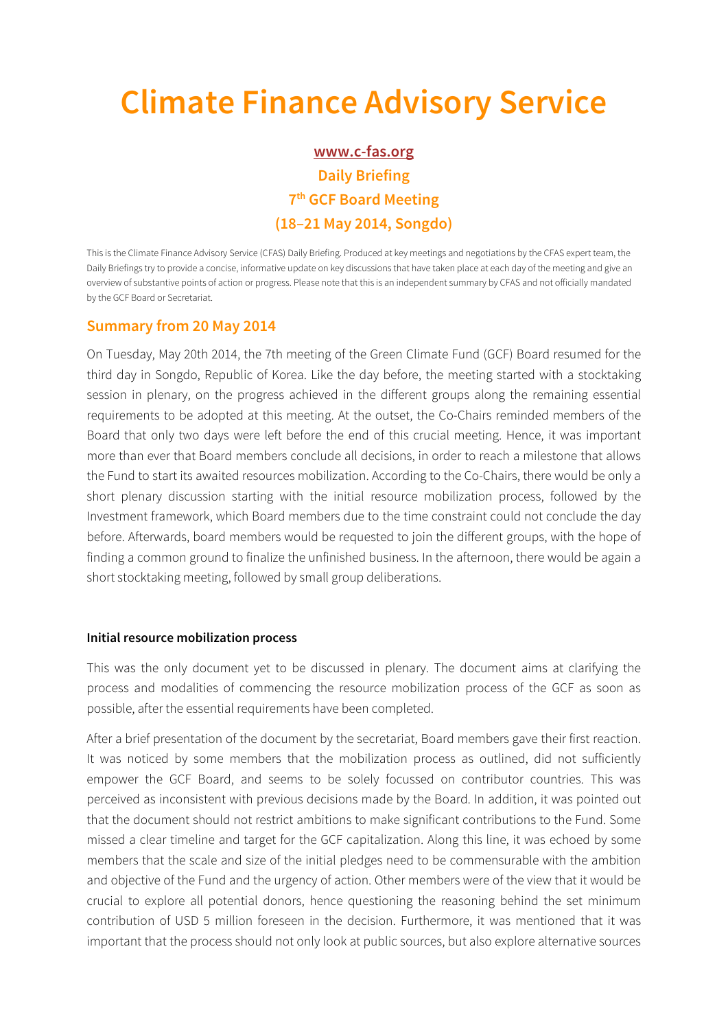# **Climate Finance Advisory Service**

## **www.c-fas.org Daily Briefing 7th GCF Board Meeting (18–21 May 2014, Songdo)**

This is the Climate Finance Advisory Service (CFAS) Daily Briefing. Produced at key meetings and negotiations by the CFAS expert team, the Daily Briefings try to provide a concise, informative update on key discussions that have taken place at each day of the meeting and give an overview of substantive points of action or progress. Please note that this is an independent summary by CFAS and not officially mandated by the GCF Board or Secretariat.

### **Summary from 20 May 2014**

On Tuesday, May 20th 2014, the 7th meeting of the Green Climate Fund (GCF) Board resumed for the third day in Songdo, Republic of Korea. Like the day before, the meeting started with a stocktaking session in plenary, on the progress achieved in the different groups along the remaining essential requirements to be adopted at this meeting. At the outset, the Co-Chairs reminded members of the Board that only two days were left before the end of this crucial meeting. Hence, it was important more than ever that Board members conclude all decisions, in order to reach a milestone that allows the Fund to start its awaited resources mobilization. According to the Co-Chairs, there would be only a short plenary discussion starting with the initial resource mobilization process, followed by the Investment framework, which Board members due to the time constraint could not conclude the day before. Afterwards, board members would be requested to join the different groups, with the hope of finding a common ground to finalize the unfinished business. In the afternoon, there would be again a short stocktaking meeting, followed by small group deliberations.

#### **Initial resource mobilization process**

This was the only document yet to be discussed in plenary. The document aims at clarifying the process and modalities of commencing the resource mobilization process of the GCF as soon as possible, after the essential requirements have been completed.

After a brief presentation of the document by the secretariat, Board members gave their first reaction. It was noticed by some members that the mobilization process as outlined, did not sufficiently empower the GCF Board, and seems to be solely focussed on contributor countries. This was perceived as inconsistent with previous decisions made by the Board. In addition, it was pointed out that the document should not restrict ambitions to make significant contributions to the Fund. Some missed a clear timeline and target for the GCF capitalization. Along this line, it was echoed by some members that the scale and size of the initial pledges need to be commensurable with the ambition and objective of the Fund and the urgency of action. Other members were of the view that it would be crucial to explore all potential donors, hence questioning the reasoning behind the set minimum contribution of USD 5 million foreseen in the decision. Furthermore, it was mentioned that it was important that the process should not only look at public sources, but also explore alternative sources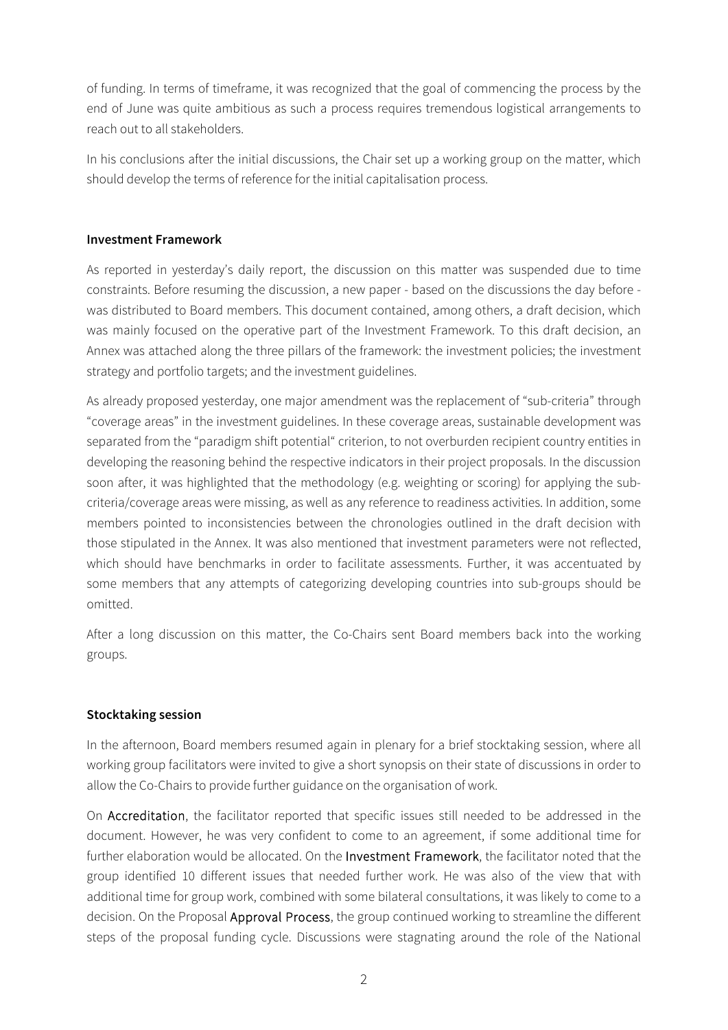of funding. In terms of timeframe, it was recognized that the goal of commencing the process by the end of June was quite ambitious as such a process requires tremendous logistical arrangements to reach out to all stakeholders.

In his conclusions after the initial discussions, the Chair set up a working group on the matter, which should develop the terms of reference for the initial capitalisation process.

#### **Investment Framework**

As reported in yesterday's daily report, the discussion on this matter was suspended due to time constraints. Before resuming the discussion, a new paper - based on the discussions the day before was distributed to Board members. This document contained, among others, a draft decision, which was mainly focused on the operative part of the Investment Framework. To this draft decision, an Annex was attached along the three pillars of the framework: the investment policies; the investment strategy and portfolio targets; and the investment guidelines.

As already proposed yesterday, one major amendment was the replacement of "sub-criteria" through "coverage areas" in the investment guidelines. In these coverage areas, sustainable development was separated from the "paradigm shift potential" criterion, to not overburden recipient country entities in developing the reasoning behind the respective indicators in their project proposals. In the discussion soon after, it was highlighted that the methodology (e.g. weighting or scoring) for applying the subcriteria/coverage areas were missing, as well as any reference to readiness activities. In addition, some members pointed to inconsistencies between the chronologies outlined in the draft decision with those stipulated in the Annex. It was also mentioned that investment parameters were not reflected, which should have benchmarks in order to facilitate assessments. Further, it was accentuated by some members that any attempts of categorizing developing countries into sub-groups should be omitted.

After a long discussion on this matter, the Co-Chairs sent Board members back into the working groups.

#### **Stocktaking session**

In the afternoon, Board members resumed again in plenary for a brief stocktaking session, where all working group facilitators were invited to give a short synopsis on their state of discussions in order to allow the Co-Chairs to provide further guidance on the organisation of work.

On Accreditation, the facilitator reported that specific issues still needed to be addressed in the document. However, he was very confident to come to an agreement, if some additional time for further elaboration would be allocated. On the Investment Framework, the facilitator noted that the group identified 10 different issues that needed further work. He was also of the view that with additional time for group work, combined with some bilateral consultations, it was likely to come to a decision. On the Proposal **Approval Process**, the group continued working to streamline the different steps of the proposal funding cycle. Discussions were stagnating around the role of the National